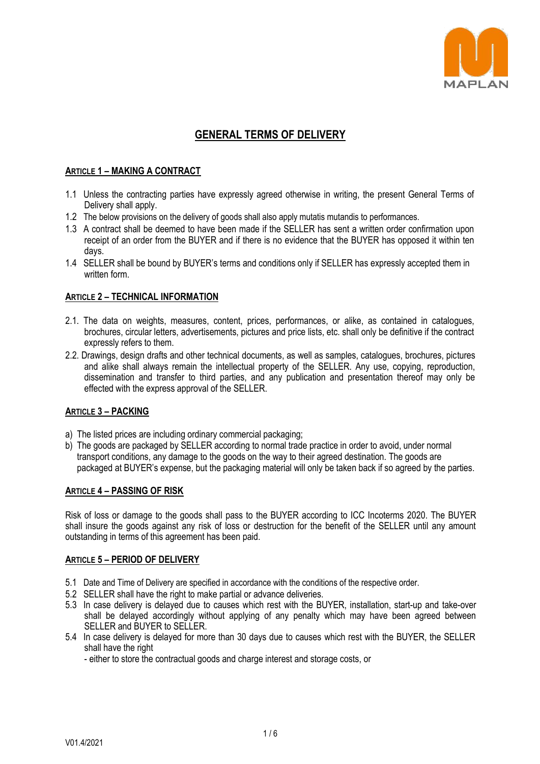

# **GENERAL TERMS OF DELIVERY**

## **ARTICLE 1 – MAKING A CONTRACT**

- 1.1 Unless the contracting parties have expressly agreed otherwise in writing, the present General Terms of Delivery shall apply.
- 1.2 The below provisions on the delivery of goods shall also apply mutatis mutandis to performances.
- 1.3 A contract shall be deemed to have been made if the SELLER has sent a written order confirmation upon receipt of an order from the BUYER and if there is no evidence that the BUYER has opposed it within ten days.
- 1.4 SELLER shall be bound by BUYER's terms and conditions only if SELLER has expressly accepted them in written form.

### **ARTICLE 2 – TECHNICAL INFORMATION**

- 2.1. The data on weights, measures, content, prices, performances, or alike, as contained in catalogues, brochures, circular letters, advertisements, pictures and price lists, etc. shall only be definitive if the contract expressly refers to them.
- 2.2. Drawings, design drafts and other technical documents, as well as samples, catalogues, brochures, pictures and alike shall always remain the intellectual property of the SELLER. Any use, copying, reproduction, dissemination and transfer to third parties, and any publication and presentation thereof may only be effected with the express approval of the SELLER.

# **ARTICLE 3 – PACKING**

- a) The listed prices are including ordinary commercial packaging;
- b) The goods are packaged by SELLER according to normal trade practice in order to avoid, under normal transport conditions, any damage to the goods on the way to their agreed destination. The goods are packaged at BUYER's expense, but the packaging material will only be taken back if so agreed by the parties.

### **ARTICLE 4 – PASSING OF RISK**

Risk of loss or damage to the goods shall pass to the BUYER according to ICC Incoterms 2020. The BUYER shall insure the goods against any risk of loss or destruction for the benefit of the SELLER until any amount outstanding in terms of this agreement has been paid.

### **ARTICLE 5 – PERIOD OF DELIVERY**

- 5.1 Date and Time of Delivery are specified in accordance with the conditions of the respective order.
- 5.2 SELLER shall have the right to make partial or advance deliveries.
- 5.3 In case delivery is delayed due to causes which rest with the BUYER, installation, start-up and take-over shall be delayed accordingly without applying of any penalty which may have been agreed between SELLER and BUYER to SELLER.
- 5.4 In case delivery is delayed for more than 30 days due to causes which rest with the BUYER, the SELLER shall have the right

- either to store the contractual goods and charge interest and storage costs, or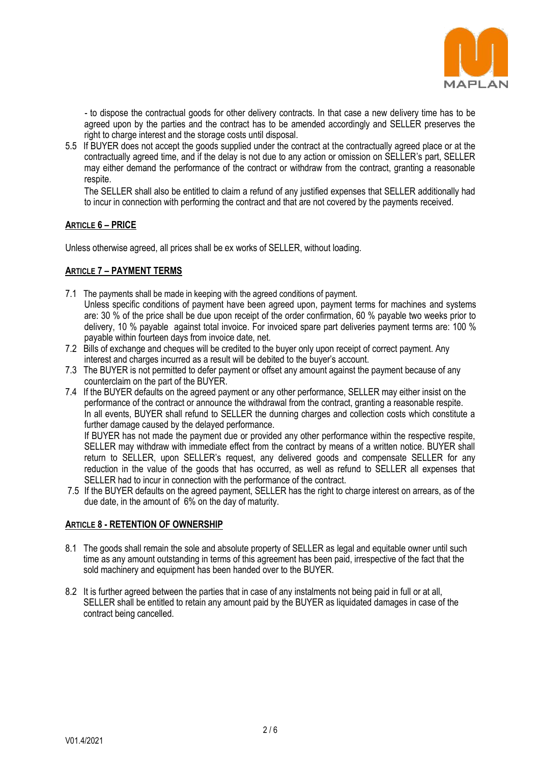

- to dispose the contractual goods for other delivery contracts. In that case a new delivery time has to be agreed upon by the parties and the contract has to be amended accordingly and SELLER preserves the right to charge interest and the storage costs until disposal.

5.5 If BUYER does not accept the goods supplied under the contract at the contractually agreed place or at the contractually agreed time, and if the delay is not due to any action or omission on SELLER's part, SELLER may either demand the performance of the contract or withdraw from the contract, granting a reasonable respite.

The SELLER shall also be entitled to claim a refund of any justified expenses that SELLER additionally had to incur in connection with performing the contract and that are not covered by the payments received.

## **ARTICLE 6 – PRICE**

Unless otherwise agreed, all prices shall be ex works of SELLER, without loading.

# **ARTICLE 7 – PAYMENT TERMS**

- 7.1 The payments shall be made in keeping with the agreed conditions of payment. Unless specific conditions of payment have been agreed upon, payment terms for machines and systems are: 30 % of the price shall be due upon receipt of the order confirmation, 60 % payable two weeks prior to delivery, 10 % payable against total invoice. For invoiced spare part deliveries payment terms are: 100 % payable within fourteen days from invoice date, net.
- 7.2 Bills of exchange and cheques will be credited to the buyer only upon receipt of correct payment. Any interest and charges incurred as a result will be debited to the buyer's account.
- 7.3 The BUYER is not permitted to defer payment or offset any amount against the payment because of any counterclaim on the part of the BUYER.
- 7.4 If the BUYER defaults on the agreed payment or any other performance, SELLER may either insist on the performance of the contract or announce the withdrawal from the contract, granting a reasonable respite. In all events, BUYER shall refund to SELLER the dunning charges and collection costs which constitute a further damage caused by the delayed performance.

If BUYER has not made the payment due or provided any other performance within the respective respite, SELLER may withdraw with immediate effect from the contract by means of a written notice. BUYER shall return to SELLER, upon SELLER's request, any delivered goods and compensate SELLER for any reduction in the value of the goods that has occurred, as well as refund to SELLER all expenses that SELLER had to incur in connection with the performance of the contract.

7.5 If the BUYER defaults on the agreed payment, SELLER has the right to charge interest on arrears, as of the due date, in the amount of 6% on the day of maturity.

### **ARTICLE 8 - RETENTION OF OWNERSHIP**

- 8.1 The goods shall remain the sole and absolute property of SELLER as legal and equitable owner until such time as any amount outstanding in terms of this agreement has been paid, irrespective of the fact that the sold machinery and equipment has been handed over to the BUYER.
- 8.2 It is further agreed between the parties that in case of any instalments not being paid in full or at all, SELLER shall be entitled to retain any amount paid by the BUYER as liquidated damages in case of the contract being cancelled.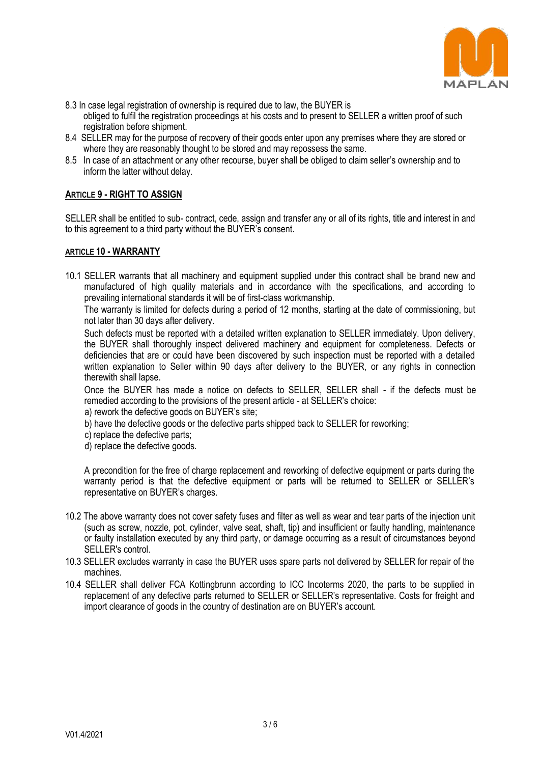

- 8.3 In case legal registration of ownership is required due to law, the BUYER is obliged to fulfil the registration proceedings at his costs and to present to SELLER a written proof of such registration before shipment.
- 8.4 SELLER may for the purpose of recovery of their goods enter upon any premises where they are stored or where they are reasonably thought to be stored and may repossess the same.
- 8.5 In case of an attachment or any other recourse, buyer shall be obliged to claim seller's ownership and to inform the latter without delay.

# **ARTICLE 9 - RIGHT TO ASSIGN**

SELLER shall be entitled to sub- contract, cede, assign and transfer any or all of its rights, title and interest in and to this agreement to a third party without the BUYER's consent.

### **ARTICLE 10 - WARRANTY**

10.1 SELLER warrants that all machinery and equipment supplied under this contract shall be brand new and manufactured of high quality materials and in accordance with the specifications, and according to prevailing international standards it will be of first-class workmanship.

The warranty is limited for defects during a period of 12 months, starting at the date of commissioning, but not later than 30 days after delivery.

Such defects must be reported with a detailed written explanation to SELLER immediately. Upon delivery, the BUYER shall thoroughly inspect delivered machinery and equipment for completeness. Defects or deficiencies that are or could have been discovered by such inspection must be reported with a detailed written explanation to Seller within 90 days after delivery to the BUYER, or any rights in connection therewith shall lapse.

Once the BUYER has made a notice on defects to SELLER, SELLER shall - if the defects must be remedied according to the provisions of the present article - at SELLER's choice:

- a) rework the defective goods on BUYER's site;
- b) have the defective goods or the defective parts shipped back to SELLER for reworking;
- c) replace the defective parts;
- d) replace the defective goods.

A precondition for the free of charge replacement and reworking of defective equipment or parts during the warranty period is that the defective equipment or parts will be returned to SELLER or SELLER's representative on BUYER's charges.

- 10.2 The above warranty does not cover safety fuses and filter as well as wear and tear parts of the injection unit (such as screw, nozzle, pot, cylinder, valve seat, shaft, tip) and insufficient or faulty handling, maintenance or faulty installation executed by any third party, or damage occurring as a result of circumstances beyond SELLER's control.
- 10.3 SELLER excludes warranty in case the BUYER uses spare parts not delivered by SELLER for repair of the machines.
- 10.4 SELLER shall deliver FCA Kottingbrunn according to ICC Incoterms 2020, the parts to be supplied in replacement of any defective parts returned to SELLER or SELLER's representative. Costs for freight and import clearance of goods in the country of destination are on BUYER's account.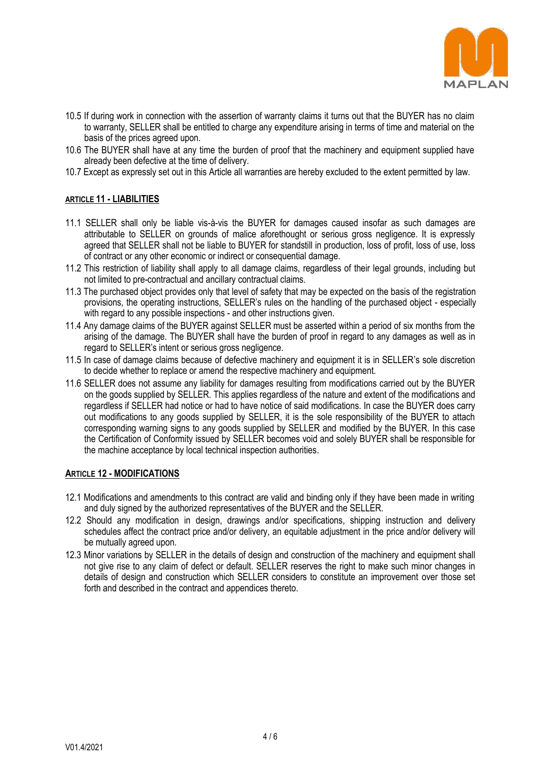

- 10.5 If during work in connection with the assertion of warranty claims it turns out that the BUYER has no claim to warranty, SELLER shall be entitled to charge any expenditure arising in terms of time and material on the basis of the prices agreed upon.
- 10.6 The BUYER shall have at any time the burden of proof that the machinery and equipment supplied have already been defective at the time of delivery.
- 10.7 Except as expressly set out in this Article all warranties are hereby excluded to the extent permitted by law.

### **ARTICLE 11 - LIABILITIES**

- 11.1 SELLER shall only be liable vis-à-vis the BUYER for damages caused insofar as such damages are attributable to SELLER on grounds of malice aforethought or serious gross negligence. It is expressly agreed that SELLER shall not be liable to BUYER for standstill in production, loss of profit, loss of use, loss of contract or any other economic or indirect or consequential damage.
- 11.2 This restriction of liability shall apply to all damage claims, regardless of their legal grounds, including but not limited to pre-contractual and ancillary contractual claims.
- 11.3 The purchased object provides only that level of safety that may be expected on the basis of the registration provisions, the operating instructions, SELLER's rules on the handling of the purchased object - especially with regard to any possible inspections - and other instructions given.
- 11.4 Any damage claims of the BUYER against SELLER must be asserted within a period of six months from the arising of the damage. The BUYER shall have the burden of proof in regard to any damages as well as in regard to SELLER's intent or serious gross negligence.
- 11.5 In case of damage claims because of defective machinery and equipment it is in SELLER's sole discretion to decide whether to replace or amend the respective machinery and equipment.
- 11.6 SELLER does not assume any liability for damages resulting from modifications carried out by the BUYER on the goods supplied by SELLER. This applies regardless of the nature and extent of the modifications and regardless if SELLER had notice or had to have notice of said modifications. In case the BUYER does carry out modifications to any goods supplied by SELLER, it is the sole responsibility of the BUYER to attach corresponding warning signs to any goods supplied by SELLER and modified by the BUYER. In this case the Certification of Conformity issued by SELLER becomes void and solely BUYER shall be responsible for the machine acceptance by local technical inspection authorities.

### **ARTICLE 12 - MODIFICATIONS**

- 12.1 Modifications and amendments to this contract are valid and binding only if they have been made in writing and duly signed by the authorized representatives of the BUYER and the SELLER.
- 12.2 Should any modification in design, drawings and/or specifications, shipping instruction and delivery schedules affect the contract price and/or delivery, an equitable adjustment in the price and/or delivery will be mutually agreed upon.
- 12.3 Minor variations by SELLER in the details of design and construction of the machinery and equipment shall not give rise to any claim of defect or default. SELLER reserves the right to make such minor changes in details of design and construction which SELLER considers to constitute an improvement over those set forth and described in the contract and appendices thereto.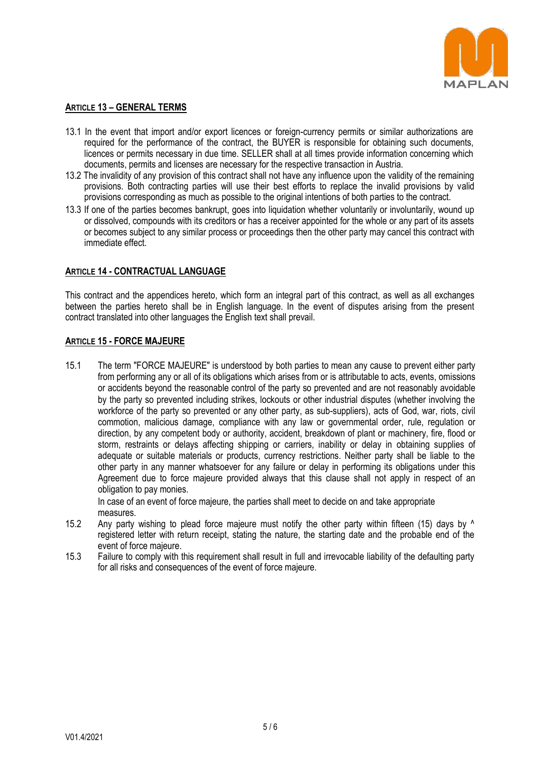

### **ARTICLE 13 – GENERAL TERMS**

- 13.1 In the event that import and/or export licences or foreign-currency permits or similar authorizations are required for the performance of the contract, the BUYER is responsible for obtaining such documents, licences or permits necessary in due time. SELLER shall at all times provide information concerning which documents, permits and licenses are necessary for the respective transaction in Austria.
- 13.2 The invalidity of any provision of this contract shall not have any influence upon the validity of the remaining provisions. Both contracting parties will use their best efforts to replace the invalid provisions by valid provisions corresponding as much as possible to the original intentions of both parties to the contract.
- 13.3 If one of the parties becomes bankrupt, goes into liquidation whether voluntarily or involuntarily, wound up or dissolved, compounds with its creditors or has a receiver appointed for the whole or any part of its assets or becomes subject to any similar process or proceedings then the other party may cancel this contract with immediate effect.

## **ARTICLE 14 - CONTRACTUAL LANGUAGE**

This contract and the appendices hereto, which form an integral part of this contract, as well as all exchanges between the parties hereto shall be in English language. In the event of disputes arising from the present contract translated into other languages the English text shall prevail.

## **ARTICLE 15 - FORCE MAJEURE**

15.1 The term "FORCE MAJEURE" is understood by both parties to mean any cause to prevent either party from performing any or all of its obligations which arises from or is attributable to acts, events, omissions or accidents beyond the reasonable control of the party so prevented and are not reasonably avoidable by the party so prevented including strikes, lockouts or other industrial disputes (whether involving the workforce of the party so prevented or any other party, as sub-suppliers), acts of God, war, riots, civil commotion, malicious damage, compliance with any law or governmental order, rule, regulation or direction, by any competent body or authority, accident, breakdown of plant or machinery, fire, flood or storm, restraints or delays affecting shipping or carriers, inability or delay in obtaining supplies of adequate or suitable materials or products, currency restrictions. Neither party shall be liable to the other party in any manner whatsoever for any failure or delay in performing its obligations under this Agreement due to force majeure provided always that this clause shall not apply in respect of an obligation to pay monies.

In case of an event of force majeure, the parties shall meet to decide on and take appropriate measures.

- 15.2 Any party wishing to plead force majeure must notify the other party within fifteen (15) days by  $\wedge$ registered letter with return receipt, stating the nature, the starting date and the probable end of the event of force majeure.
- 15.3 Failure to comply with this requirement shall result in full and irrevocable liability of the defaulting party for all risks and consequences of the event of force majeure.